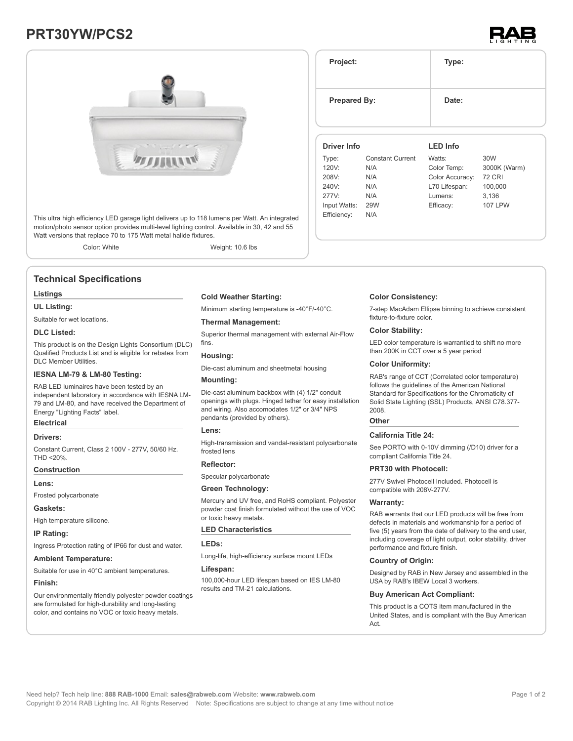# **PRT30YW/PCS2**





This ultra high efficiency LED garage light delivers up to 118 lumens per Watt. An integrated motion/photo sensor option provides multi-level lighting control. Available in 30, 42 and 55 Watt versions that replace 70 to 175 Watt metal halide fixtures.

Color: White Weight: 10.6 lbs

# **Technical Specifications**

# **Listings**

# **UL Listing:**

Suitable for wet locations.

#### **DLC Listed:**

This product is on the Design Lights Consortium (DLC) Qualified Products List and is eligible for rebates from DLC Member Utilities.

#### **IESNA LM-79 & LM-80 Testing:**

RAB LED luminaires have been tested by an independent laboratory in accordance with IESNA LM-79 and LM-80, and have received the Department of Energy "Lighting Facts" label.

# **Electrical**

#### **Drivers:**

Constant Current, Class 2 100V - 277V, 50/60 Hz. THD <20%.

# **Construction**

**Lens:**

Frosted polycarbonate

#### **Gaskets:**

High temperature silicone.

#### **IP Rating:**

Ingress Protection rating of IP66 for dust and water.

#### **Ambient Temperature:**

Suitable for use in 40°C ambient temperatures.

#### **Finish:**

Our environmentally friendly polyester powder coatings are formulated for high-durability and long-lasting color, and contains no VOC or toxic heavy metals.

#### **Cold Weather Starting:**

Minimum starting temperature is -40°F/-40°C.

#### **Thermal Management:**

Superior thermal management with external Air-Flow fins.

### **Housing:**

Die-cast aluminum and sheetmetal housing

# **Mounting:**

Die-cast aluminum backbox with (4) 1/2" conduit openings with plugs. Hinged tether for easy installation and wiring. Also accomodates 1/2" or 3/4" NPS pendants (provided by others).

#### **Lens:**

High-transmission and vandal-resistant polycarbonate frosted lens

# **Reflector:**

Specular polycarbonate

### **Green Technology:**

Mercury and UV free, and RoHS compliant. Polyester powder coat finish formulated without the use of VOC or toxic heavy metals.

#### **LED Characteristics**

**LEDs:**

Long-life, high-efficiency surface mount LEDs

#### **Lifespan:**

100,000-hour LED lifespan based on IES LM-80 results and TM-21 calculations.

| Project:            |                         | Type:           |               |  |  |
|---------------------|-------------------------|-----------------|---------------|--|--|
| <b>Prepared By:</b> |                         | Date:           |               |  |  |
| Driver Info         |                         | <b>LED Info</b> |               |  |  |
| Type:               | <b>Constant Current</b> | Watts:          | 30W           |  |  |
| 120V:               | N/A                     | Color Temp:     | 3000K (Warm)  |  |  |
| 208V:               | N/A                     | Color Accuracy: | <b>72 CRI</b> |  |  |
| 240V:               | N/A                     | L70 Lifespan:   | 100,000       |  |  |

#### **Color Consistency:**

7-step MacAdam Ellipse binning to achieve consistent fixture-to-fixture color.

Lumens: 3,136 Efficacy: 107 LPW

#### **Color Stability:**

LED color temperature is warrantied to shift no more than 200K in CCT over a 5 year period

# **Color Uniformity:**

RAB's range of CCT (Correlated color temperature) follows the guidelines of the American National Standard for Specifications for the Chromaticity of Solid State Lighting (SSL) Products, ANSI C78.377- 2008.

#### **Other**

277V: N/A Input Watts: 29W Efficiency: N/A

#### **California Title 24:**

See PORTO with 0-10V dimming (/D10) driver for a compliant California Title 24.

#### **PRT30 with Photocell:**

277V Swivel Photocell Included. Photocell is compatible with 208V-277V.

#### **Warranty:**

RAB warrants that our LED products will be free from defects in materials and workmanship for a period of five (5) years from the date of delivery to the end user, including coverage of light output, color stability, driver performance and fixture finish.

#### **Country of Origin:**

Designed by RAB in New Jersey and assembled in the USA by RAB's IBEW Local 3 workers.

#### **Buy American Act Compliant:**

This product is a COTS item manufactured in the United States, and is compliant with the Buy American Act.